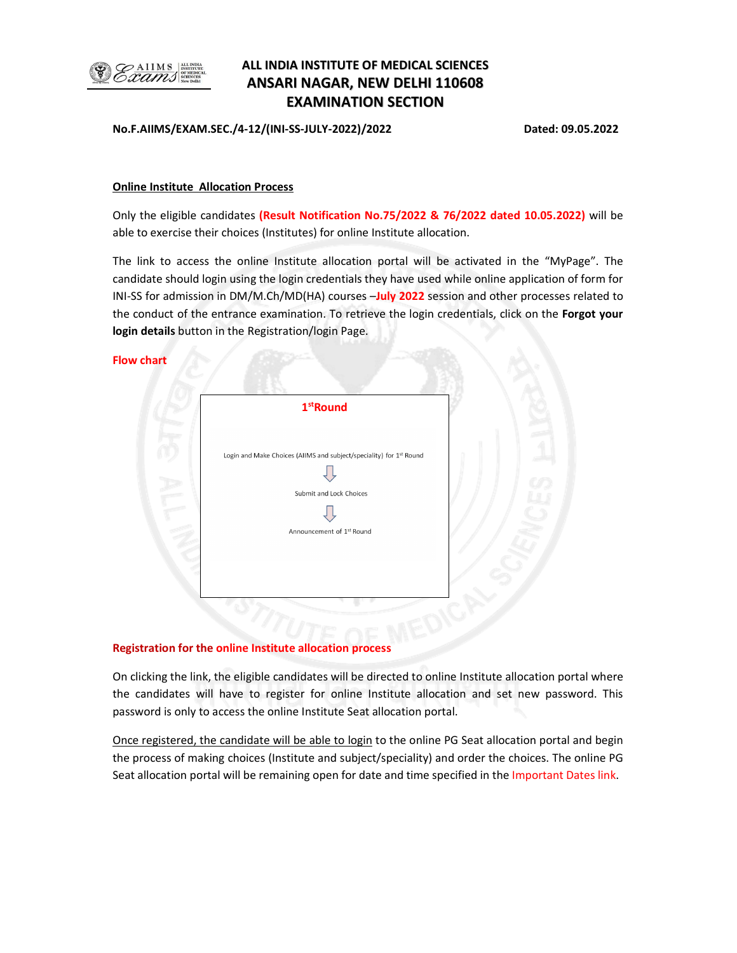

# ALL INDIA INSTITUTE OF MEDICAL SCIENCES ANSARI NAGAR, NEW DELHI 110608 EXAMINATION SECTION

No.F.AIIMS/EXAM.SEC./4-12/(INI-SS-JULY-2022)/2022 Dated: 09.05.2022

## Online Institute Allocation Process

Only the eligible candidates (Result Notification No.75/2022 & 76/2022 dated 10.05.2022) will be able to exercise their choices (Institutes) for online Institute allocation.

The link to access the online Institute allocation portal will be activated in the "MyPage". The candidate should login using the login credentials they have used while online application of form for INI-SS for admission in DM/M.Ch/MD(HA) courses -July 2022 session and other processes related to the conduct of the entrance examination. To retrieve the login credentials, click on the Forgot your login details button in the Registration/login Page.

## Flow chart

| Login and Make Choices (AIIMS and subject/speciality) for 1st Round<br>Submit and Lock Choices<br>Announcement of 1st Round | $1st$ Round |  |
|-----------------------------------------------------------------------------------------------------------------------------|-------------|--|
|                                                                                                                             |             |  |
|                                                                                                                             |             |  |
|                                                                                                                             |             |  |
|                                                                                                                             |             |  |
|                                                                                                                             |             |  |

# Registration for the online Institute allocation process

On clicking the link, the eligible candidates will be directed to online Institute allocation portal where the candidates will have to register for online Institute allocation and set new password. This password is only to access the online Institute Seat allocation portal.

Once registered, the candidate will be able to login to the online PG Seat allocation portal and begin the process of making choices (Institute and subject/speciality) and order the choices. The online PG Seat allocation portal will be remaining open for date and time specified in the Important Dates link.